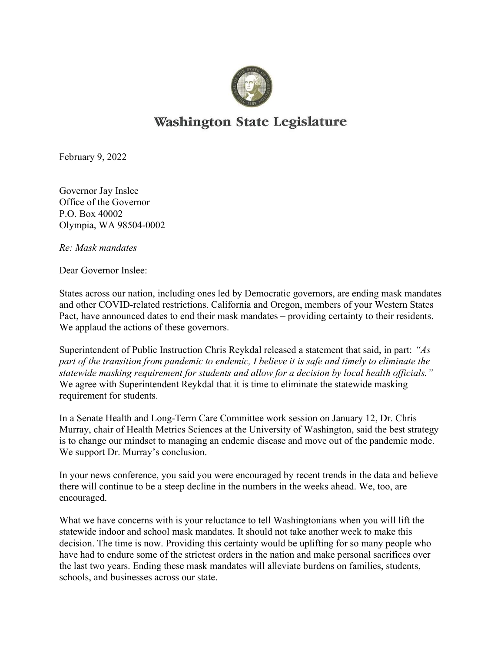

## **Washington State Legislature**

February 9, 2022

Governor Jay Inslee Office of the Governor P.O. Box 40002 Olympia, WA 98504-0002

Re: Mask mandates

Dear Governor Inslee:

States across our nation, including ones led by Democratic governors, are ending mask mandates and other COVID-related restrictions. California and Oregon, members of your Western States Pact, have announced dates to end their mask mandates – providing certainty to their residents. We applaud the actions of these governors.

Superintendent of Public Instruction Chris Reykdal released a statement that said, in part: "As part of the transition from pandemic to endemic, I believe it is safe and timely to eliminate the statewide masking requirement for students and allow for a decision by local health officials." We agree with Superintendent Reykdal that it is time to eliminate the statewide masking requirement for students.

In a Senate Health and Long-Term Care Committee work session on January 12, Dr. Chris Murray, chair of Health Metrics Sciences at the University of Washington, said the best strategy is to change our mindset to managing an endemic disease and move out of the pandemic mode. We support Dr. Murray's conclusion.

In your news conference, you said you were encouraged by recent trends in the data and believe there will continue to be a steep decline in the numbers in the weeks ahead. We, too, are encouraged.

What we have concerns with is your reluctance to tell Washingtonians when you will lift the statewide indoor and school mask mandates. It should not take another week to make this decision. The time is now. Providing this certainty would be uplifting for so many people who have had to endure some of the strictest orders in the nation and make personal sacrifices over the last two years. Ending these mask mandates will alleviate burdens on families, students, schools, and businesses across our state.